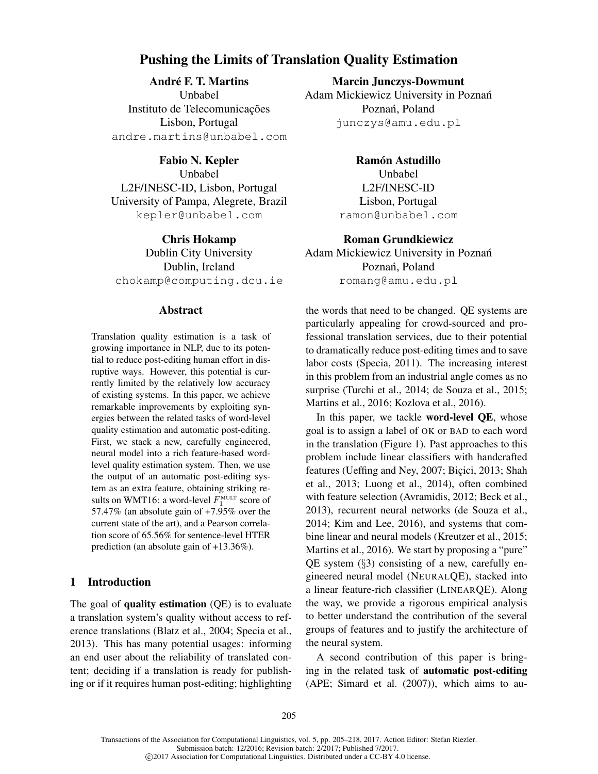# Pushing the Limits of Translation Quality Estimation

# André F. T. Martins

Unbabel Instituto de Telecomunicações Lisbon, Portugal andre.martins@unbabel.com

# Fabio N. Kepler Unbabel L2F/INESC-ID, Lisbon, Portugal University of Pampa, Alegrete, Brazil kepler@unbabel.com

Chris Hokamp Dublin City University Dublin, Ireland chokamp@computing.dcu.ie

#### Abstract

Translation quality estimation is a task of growing importance in NLP, due to its potential to reduce post-editing human effort in disruptive ways. However, this potential is currently limited by the relatively low accuracy of existing systems. In this paper, we achieve remarkable improvements by exploiting synergies between the related tasks of word-level quality estimation and automatic post-editing. First, we stack a new, carefully engineered, neural model into a rich feature-based wordlevel quality estimation system. Then, we use the output of an automatic post-editing system as an extra feature, obtaining striking results on WMT16: a word-level  $F_1^{\text{MULT}}$  score of 57.47% (an absolute gain of +7.95% over the current state of the art), and a Pearson correlation score of 65.56% for sentence-level HTER prediction (an absolute gain of +13.36%).

## 1 Introduction

The goal of **quality estimation** (QE) is to evaluate a translation system's quality without access to reference translations (Blatz et al., 2004; Specia et al., 2013). This has many potential usages: informing an end user about the reliability of translated content; deciding if a translation is ready for publishing or if it requires human post-editing; highlighting

# Marcin Junczys-Dowmunt Adam Mickiewicz University in Poznan´ Poznań, Poland junczys@amu.edu.pl

Ramón Astudillo Unbabel L2F/INESC-ID Lisbon, Portugal ramon@unbabel.com

## Roman Grundkiewicz

Adam Mickiewicz University in Poznań Poznań, Poland romang@amu.edu.pl

the words that need to be changed. QE systems are particularly appealing for crowd-sourced and professional translation services, due to their potential to dramatically reduce post-editing times and to save labor costs (Specia, 2011). The increasing interest in this problem from an industrial angle comes as no surprise (Turchi et al., 2014; de Souza et al., 2015; Martins et al., 2016; Kozlova et al., 2016).

In this paper, we tackle word-level OE, whose goal is to assign a label of OK or BAD to each word in the translation (Figure 1). Past approaches to this problem include linear classifiers with handcrafted features (Ueffing and Ney, 2007; Bicici, 2013; Shah et al., 2013; Luong et al., 2014), often combined with feature selection (Avramidis, 2012; Beck et al., 2013), recurrent neural networks (de Souza et al., 2014; Kim and Lee, 2016), and systems that combine linear and neural models (Kreutzer et al., 2015; Martins et al., 2016). We start by proposing a "pure" QE system (§3) consisting of a new, carefully engineered neural model (NEURALQE), stacked into a linear feature-rich classifier (LINEARQE). Along the way, we provide a rigorous empirical analysis to better understand the contribution of the several groups of features and to justify the architecture of the neural system.

A second contribution of this paper is bringing in the related task of automatic post-editing (APE; Simard et al. (2007)), which aims to au-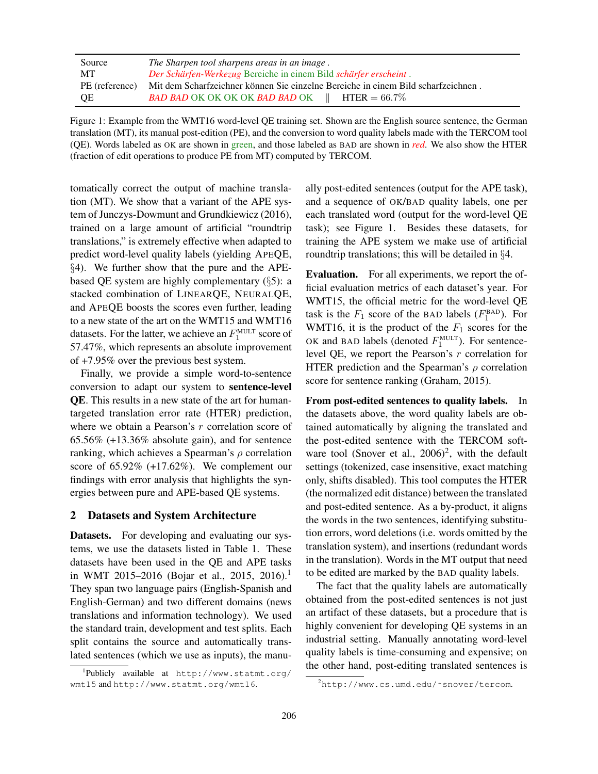| Source         | The Sharpen tool sharpens areas in an image.                                      |
|----------------|-----------------------------------------------------------------------------------|
| MT.            | Der Schärfen-Werkezug Bereiche in einem Bild schärfer erscheint.                  |
| PE (reference) | Mit dem Scharfzeichner können Sie einzelne Bereiche in einem Bild scharfzeichnen. |
| OE.            | <b>BAD BAD</b> OK OK OK OK <b>BAD BAD</b> OK $\parallel$ <b>HTER</b> = 66.7%      |

Figure 1: Example from the WMT16 word-level QE training set. Shown are the English source sentence, the German translation (MT), its manual post-edition (PE), and the conversion to word quality labels made with the TERCOM tool (QE). Words labeled as OK are shown in green, and those labeled as BAD are shown in *red*. We also show the HTER (fraction of edit operations to produce PE from MT) computed by TERCOM.

tomatically correct the output of machine translation (MT). We show that a variant of the APE system of Junczys-Dowmunt and Grundkiewicz (2016), trained on a large amount of artificial "roundtrip translations," is extremely effective when adapted to predict word-level quality labels (yielding APEQE, §4). We further show that the pure and the APEbased QE system are highly complementary (§5): a stacked combination of LINEARQE, NEURALQE, and APEQE boosts the scores even further, leading to a new state of the art on the WMT15 and WMT16 datasets. For the latter, we achieve an  $F_1^{\text{MULT}}$  score of 57.47%, which represents an absolute improvement of +7.95% over the previous best system.

Finally, we provide a simple word-to-sentence conversion to adapt our system to sentence-level QE. This results in a new state of the art for humantargeted translation error rate (HTER) prediction, where we obtain a Pearson's r correlation score of 65.56% (+13.36% absolute gain), and for sentence ranking, which achieves a Spearman's  $\rho$  correlation score of 65.92% (+17.62%). We complement our findings with error analysis that highlights the synergies between pure and APE-based QE systems.

### 2 Datasets and System Architecture

Datasets. For developing and evaluating our systems, we use the datasets listed in Table 1. These datasets have been used in the QE and APE tasks in WMT 2015–2016 (Bojar et al., 2015, 2016).<sup>1</sup> They span two language pairs (English-Spanish and English-German) and two different domains (news translations and information technology). We used the standard train, development and test splits. Each split contains the source and automatically translated sentences (which we use as inputs), the manually post-edited sentences (output for the APE task), and a sequence of OK/BAD quality labels, one per each translated word (output for the word-level QE task); see Figure 1. Besides these datasets, for training the APE system we make use of artificial roundtrip translations; this will be detailed in §4.

Evaluation. For all experiments, we report the official evaluation metrics of each dataset's year. For WMT15, the official metric for the word-level QE task is the  $F_1$  score of the BAD labels  $(F_1^{\text{BAD}})$ . For WMT16, it is the product of the  $F_1$  scores for the OK and BAD labels (denoted  $F_1^{\text{MULT}}$ ). For sentencelevel QE, we report the Pearson's r correlation for HTER prediction and the Spearman's  $\rho$  correlation score for sentence ranking (Graham, 2015).

From post-edited sentences to quality labels. In the datasets above, the word quality labels are obtained automatically by aligning the translated and the post-edited sentence with the TERCOM software tool (Snover et al.,  $2006)^2$ , with the default settings (tokenized, case insensitive, exact matching only, shifts disabled). This tool computes the HTER (the normalized edit distance) between the translated and post-edited sentence. As a by-product, it aligns the words in the two sentences, identifying substitution errors, word deletions (i.e. words omitted by the translation system), and insertions (redundant words in the translation). Words in the MT output that need to be edited are marked by the BAD quality labels.

The fact that the quality labels are automatically obtained from the post-edited sentences is not just an artifact of these datasets, but a procedure that is highly convenient for developing QE systems in an industrial setting. Manually annotating word-level quality labels is time-consuming and expensive; on the other hand, post-editing translated sentences is

<sup>1</sup> Publicly available at http://www.statmt.org/ wmt15 and http://www.statmt.org/wmt16.

<sup>2</sup>http://www.cs.umd.edu/˜snover/tercom.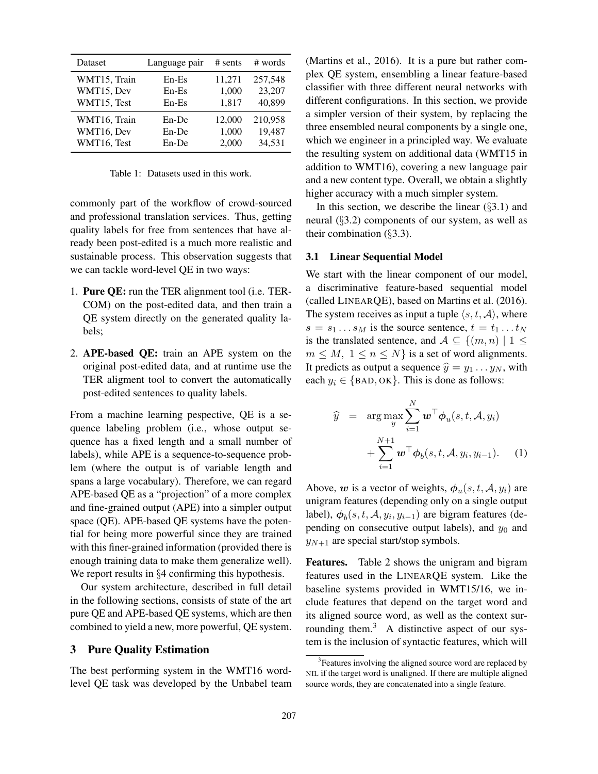| Dataset      | Language pair | $#$ sents | # words |
|--------------|---------------|-----------|---------|
| WMT15, Train | $En-Es$       | 11,271    | 257,548 |
| WMT15, Dev   | $En-Es$       | 1,000     | 23,207  |
| WMT15, Test  | $En-Es$       | 1,817     | 40,899  |
| WMT16, Train | En-De         | 12,000    | 210.958 |
| WMT16, Dev   | En-De         | 1,000     | 19,487  |
| WMT16, Test  | En-De         | 2,000     | 34,531  |

Table 1: Datasets used in this work.

commonly part of the workflow of crowd-sourced and professional translation services. Thus, getting quality labels for free from sentences that have already been post-edited is a much more realistic and sustainable process. This observation suggests that we can tackle word-level QE in two ways:

- 1. Pure QE: run the TER alignment tool (i.e. TER-COM) on the post-edited data, and then train a QE system directly on the generated quality labels;
- 2. APE-based QE: train an APE system on the original post-edited data, and at runtime use the TER aligment tool to convert the automatically post-edited sentences to quality labels.

From a machine learning pespective, QE is a sequence labeling problem (i.e., whose output sequence has a fixed length and a small number of labels), while APE is a sequence-to-sequence problem (where the output is of variable length and spans a large vocabulary). Therefore, we can regard APE-based QE as a "projection" of a more complex and fine-grained output (APE) into a simpler output space (QE). APE-based QE systems have the potential for being more powerful since they are trained with this finer-grained information (provided there is enough training data to make them generalize well). We report results in §4 confirming this hypothesis.

Our system architecture, described in full detail in the following sections, consists of state of the art pure QE and APE-based QE systems, which are then combined to yield a new, more powerful, QE system.

### 3 Pure Quality Estimation

The best performing system in the WMT16 wordlevel QE task was developed by the Unbabel team (Martins et al., 2016). It is a pure but rather complex QE system, ensembling a linear feature-based classifier with three different neural networks with different configurations. In this section, we provide a simpler version of their system, by replacing the three ensembled neural components by a single one, which we engineer in a principled way. We evaluate the resulting system on additional data (WMT15 in addition to WMT16), covering a new language pair and a new content type. Overall, we obtain a slightly higher accuracy with a much simpler system.

In this section, we describe the linear  $(\S 3.1)$  and neural (§3.2) components of our system, as well as their combination (§3.3).

#### 3.1 Linear Sequential Model

We start with the linear component of our model, a discriminative feature-based sequential model (called LINEARQE), based on Martins et al. (2016). The system receives as input a tuple  $\langle s, t, \mathcal{A} \rangle$ , where  $s = s_1 \dots s_M$  is the source sentence,  $t = t_1 \dots t_N$ is the translated sentence, and  $A \subseteq \{(m,n) | 1 \leq$  $m \leq M$ ,  $1 \leq n \leq N$  is a set of word alignments. It predicts as output a sequence  $\hat{y} = y_1 \dots y_N$ , with each  $y_i \in \{$  BAD, OK $\}$ . This is done as follows:

$$
\widehat{y} = \arg \max_{y} \sum_{i=1}^{N} \boldsymbol{w}^{\top} \boldsymbol{\phi}_{u}(s, t, \mathcal{A}, y_{i})
$$

$$
+ \sum_{i=1}^{N+1} \boldsymbol{w}^{\top} \boldsymbol{\phi}_{b}(s, t, \mathcal{A}, y_{i}, y_{i-1}). \quad (1)
$$

Above, w is a vector of weights,  $\phi_u(s, t, \mathcal{A}, y_i)$  are unigram features (depending only on a single output label),  $\phi_b(s, t, \mathcal{A}, y_i, y_{i-1})$  are bigram features (depending on consecutive output labels), and  $y_0$  and  $y_{N+1}$  are special start/stop symbols.

Features. Table 2 shows the unigram and bigram features used in the LINEARQE system. Like the baseline systems provided in WMT15/16, we include features that depend on the target word and its aligned source word, as well as the context surrounding them.<sup>3</sup> A distinctive aspect of our system is the inclusion of syntactic features, which will

<sup>&</sup>lt;sup>3</sup> Features involving the aligned source word are replaced by NIL if the target word is unaligned. If there are multiple aligned source words, they are concatenated into a single feature.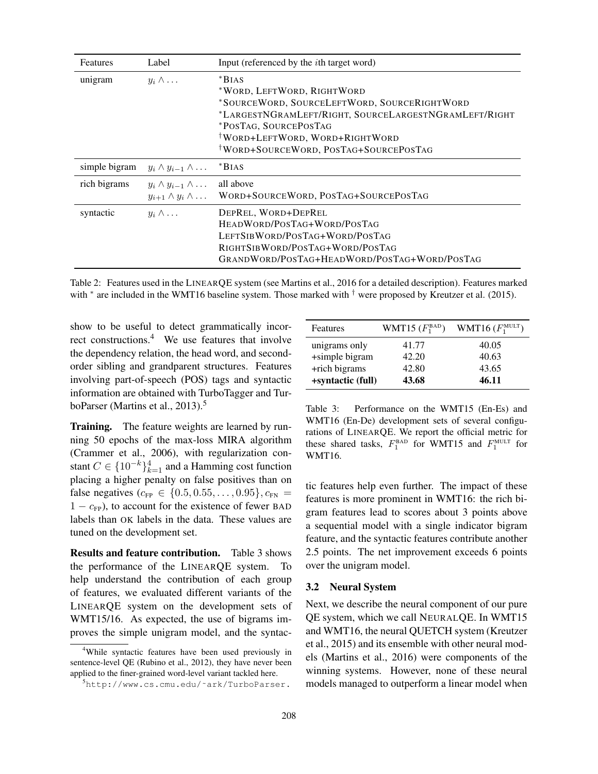| Features      | Label                                                                    | Input (referenced by the <i>i</i> th target word)                                                                                                                                                                                                             |
|---------------|--------------------------------------------------------------------------|---------------------------------------------------------------------------------------------------------------------------------------------------------------------------------------------------------------------------------------------------------------|
| unigram       | $y_i \wedge \ldots$                                                      | $*BIAS$<br>*WORD, LEFTWORD, RIGHTWORD<br>*SOURCEWORD, SOURCELEFTWORD, SOURCERIGHTWORD<br>*LARGESTNGRAMLEFT/RIGHT, SOURCELARGESTNGRAMLEFT/RIGHT<br>*POSTAG, SOURCEPOSTAG<br><sup>†</sup> WORD+LEFTWORD, WORD+RIGHTWORD<br>WORD+SOURCEWORD, POSTAG+SOURCEPOSTAG |
| simple bigram | $y_i \wedge y_{i-1} \wedge \ldots$                                       | BIAS                                                                                                                                                                                                                                                          |
| rich bigrams  | $y_i \wedge y_{i-1} \wedge \ldots$<br>$y_{i+1} \wedge y_i \wedge \ldots$ | all above<br>WORD+SOURCEWORD, POSTAG+SOURCEPOSTAG                                                                                                                                                                                                             |
| syntactic     | $y_i \wedge \ldots$                                                      | DEPREL, WORD+DEPREL<br>HEADWORD/POSTAG+WORD/POSTAG<br>LEFTSIBWORD/POSTAG+WORD/POSTAG<br>RIGHTSIBWORD/POSTAG+WORD/POSTAG<br>GRANDWORD/POSTAG+HEADWORD/POSTAG+WORD/POSTAG                                                                                       |

Table 2: Features used in the LINEARQE system (see Martins et al., 2016 for a detailed description). Features marked with  $*$  are included in the WMT16 baseline system. Those marked with  $*$  were proposed by Kreutzer et al. (2015).

show to be useful to detect grammatically incorrect constructions.<sup>4</sup> We use features that involve the dependency relation, the head word, and secondorder sibling and grandparent structures. Features involving part-of-speech (POS) tags and syntactic information are obtained with TurboTagger and TurboParser (Martins et al., 2013).<sup>5</sup>

**Training.** The feature weights are learned by running 50 epochs of the max-loss MIRA algorithm (Crammer et al., 2006), with regularization constant  $C \in \{10^{-k}\}_{k=1}^4$  and a Hamming cost function placing a higher penalty on false positives than on false negatives ( $c_{\text{FP}} \in \{0.5, 0.55, \ldots, 0.95\}, c_{\text{FN}} =$  $1 - c_{FP}$ ), to account for the existence of fewer BAD labels than OK labels in the data. These values are tuned on the development set.

Results and feature contribution. Table 3 shows the performance of the LINEARQE system. To help understand the contribution of each group of features, we evaluated different variants of the LINEARQE system on the development sets of WMT15/16. As expected, the use of bigrams improves the simple unigram model, and the syntac-

| Features          | WMT15 $(F_1^{\text{BAD}})$ | WMT16 $(F_1^{\text{MULT}})$ |
|-------------------|----------------------------|-----------------------------|
| unigrams only     | 41.77                      | 40.05                       |
| +simple bigram    | 42.20                      | 40.63                       |
| +rich bigrams     | 42.80                      | 43.65                       |
| +syntactic (full) | 43.68                      | 46.11                       |

Table 3: Performance on the WMT15 (En-Es) and WMT16 (En-De) development sets of several configurations of LINEARQE. We report the official metric for these shared tasks,  $F_1^{\text{BAD}}$  for WMT15 and  $F_1^{\text{MULT}}$  for WMT16.

tic features help even further. The impact of these features is more prominent in WMT16: the rich bigram features lead to scores about 3 points above a sequential model with a single indicator bigram feature, and the syntactic features contribute another 2.5 points. The net improvement exceeds 6 points over the unigram model.

#### 3.2 Neural System

Next, we describe the neural component of our pure QE system, which we call NEURALQE. In WMT15 and WMT16, the neural QUETCH system (Kreutzer et al., 2015) and its ensemble with other neural models (Martins et al., 2016) were components of the winning systems. However, none of these neural models managed to outperform a linear model when

<sup>4</sup>While syntactic features have been used previously in sentence-level QE (Rubino et al., 2012), they have never been applied to the finer-grained word-level variant tackled here.

<sup>5</sup>http://www.cs.cmu.edu/˜ark/TurboParser.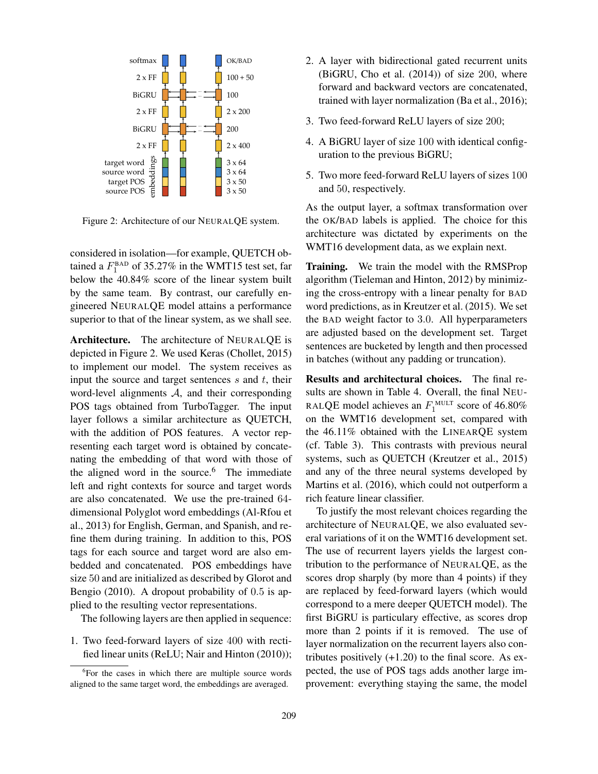

Figure 2: Architecture of our NEURALQE system.

considered in isolation—for example, QUETCH obtained a  $F_1^{\text{BAD}}$  of 35.27% in the WMT15 test set, far below the 40.84% score of the linear system built by the same team. By contrast, our carefully engineered NEURALQE model attains a performance superior to that of the linear system, as we shall see.

Architecture. The architecture of NEURALQE is depicted in Figure 2. We used Keras (Chollet, 2015) to implement our model. The system receives as input the source and target sentences  $s$  and  $t$ , their word-level alignments  $A$ , and their corresponding POS tags obtained from TurboTagger. The input layer follows a similar architecture as QUETCH, with the addition of POS features. A vector representing each target word is obtained by concatenating the embedding of that word with those of the aligned word in the source. $6$  The immediate left and right contexts for source and target words are also concatenated. We use the pre-trained 64 dimensional Polyglot word embeddings (Al-Rfou et al., 2013) for English, German, and Spanish, and refine them during training. In addition to this, POS tags for each source and target word are also embedded and concatenated. POS embeddings have size 50 and are initialized as described by Glorot and Bengio (2010). A dropout probability of 0.5 is applied to the resulting vector representations.

The following layers are then applied in sequence:

1. Two feed-forward layers of size 400 with rectified linear units (ReLU; Nair and Hinton (2010));

- 2. A layer with bidirectional gated recurrent units (BiGRU, Cho et al. (2014)) of size 200, where forward and backward vectors are concatenated, trained with layer normalization (Ba et al., 2016);
- 3. Two feed-forward ReLU layers of size 200;
- 4. A BiGRU layer of size 100 with identical configuration to the previous BiGRU;
- 5. Two more feed-forward ReLU layers of sizes 100 and 50, respectively.

As the output layer, a softmax transformation over the OK/BAD labels is applied. The choice for this architecture was dictated by experiments on the WMT16 development data, as we explain next.

Training. We train the model with the RMSProp algorithm (Tieleman and Hinton, 2012) by minimizing the cross-entropy with a linear penalty for BAD word predictions, as in Kreutzer et al. (2015). We set the BAD weight factor to 3.0. All hyperparameters are adjusted based on the development set. Target sentences are bucketed by length and then processed in batches (without any padding or truncation).

Results and architectural choices. The final results are shown in Table 4. Overall, the final NEU-RALQE model achieves an  $F_1^{\text{MULT}}$  score of 46.80% on the WMT16 development set, compared with the 46.11% obtained with the LINEARQE system (cf. Table 3). This contrasts with previous neural systems, such as QUETCH (Kreutzer et al., 2015) and any of the three neural systems developed by Martins et al. (2016), which could not outperform a rich feature linear classifier.

To justify the most relevant choices regarding the architecture of NEURALQE, we also evaluated several variations of it on the WMT16 development set. The use of recurrent layers yields the largest contribution to the performance of NEURALQE, as the scores drop sharply (by more than 4 points) if they are replaced by feed-forward layers (which would correspond to a mere deeper QUETCH model). The first BiGRU is particulary effective, as scores drop more than 2 points if it is removed. The use of layer normalization on the recurrent layers also contributes positively  $(+1.20)$  to the final score. As expected, the use of POS tags adds another large improvement: everything staying the same, the model

<sup>&</sup>lt;sup>6</sup>For the cases in which there are multiple source words aligned to the same target word, the embeddings are averaged.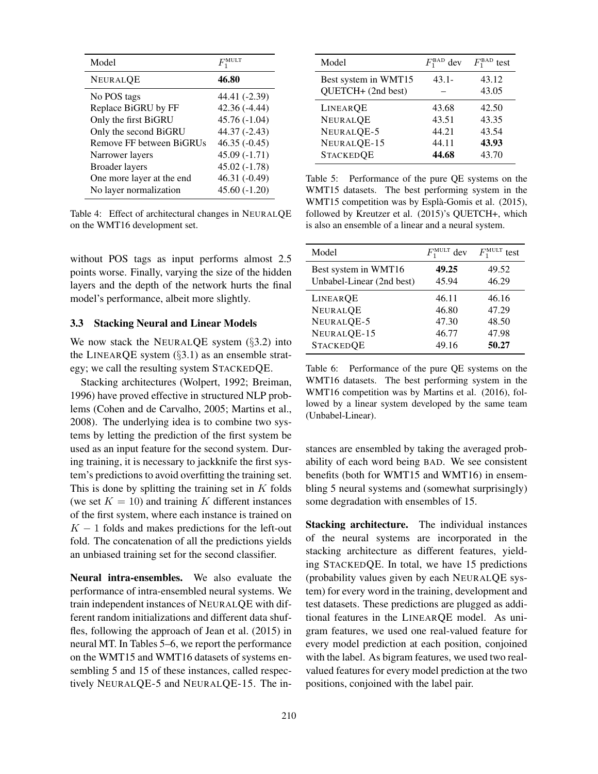| Model                     |                |
|---------------------------|----------------|
| <b>NEURALQE</b>           | 46.80          |
| No POS tags               | 44.41 (-2.39)  |
| Replace BiGRU by FF       | $42.36(-4.44)$ |
| Only the first BiGRU      | $45.76(-1.04)$ |
| Only the second BiGRU     | 44.37 (-2.43)  |
| Remove FF between BiGRUs  | $46.35(-0.45)$ |
| Narrower layers           | $45.09(-1.71)$ |
| <b>Broader</b> layers     | $45.02(-1.78)$ |
| One more layer at the end | $46.31(-0.49)$ |
| No layer normalization    | $45.60(-1.20)$ |

Table 4: Effect of architectural changes in NEURALQE on the WMT16 development set.

without POS tags as input performs almost 2.5 points worse. Finally, varying the size of the hidden layers and the depth of the network hurts the final model's performance, albeit more slightly.

### 3.3 Stacking Neural and Linear Models

We now stack the NEURALQE system (§3.2) into the LINEARQE system (§3.1) as an ensemble strategy; we call the resulting system STACKEDQE.

Stacking architectures (Wolpert, 1992; Breiman, 1996) have proved effective in structured NLP problems (Cohen and de Carvalho, 2005; Martins et al., 2008). The underlying idea is to combine two systems by letting the prediction of the first system be used as an input feature for the second system. During training, it is necessary to jackknife the first system's predictions to avoid overfitting the training set. This is done by splitting the training set in  $K$  folds (we set  $K = 10$ ) and training K different instances of the first system, where each instance is trained on  $K - 1$  folds and makes predictions for the left-out fold. The concatenation of all the predictions yields an unbiased training set for the second classifier.

Neural intra-ensembles. We also evaluate the performance of intra-ensembled neural systems. We train independent instances of NEURALQE with different random initializations and different data shuffles, following the approach of Jean et al. (2015) in neural MT. In Tables 5–6, we report the performance on the WMT15 and WMT16 datasets of systems ensembling 5 and 15 of these instances, called respectively NEURALQE-5 and NEURALQE-15. The in-

| Model                                                                        | $F_1^{\text{BAD}}$ dev                    | $F_1^{\text{BAD}}$<br>test                |
|------------------------------------------------------------------------------|-------------------------------------------|-------------------------------------------|
| Best system in WMT15<br>QUETCH+ (2nd best)                                   | $43.1 -$                                  | 43.12<br>43.05                            |
| LINEAROE<br><b>NEURALQE</b><br>NEURALQE-5<br>NEURALQE-15<br><b>STACKEDQE</b> | 43.68<br>43.51<br>44.21<br>44.11<br>44.68 | 42.50<br>43.35<br>43.54<br>43.93<br>43.70 |

Table 5: Performance of the pure QE systems on the WMT15 datasets. The best performing system in the WMT15 competition was by Espla-Gomis et al. (2015), ` followed by Kreutzer et al. (2015)'s QUETCH+, which is also an ensemble of a linear and a neural system.

| Model                     | $F_1^{\text{MULT}}$ dev | $F_1^{\text{MULT}}$<br>test |
|---------------------------|-------------------------|-----------------------------|
| Best system in WMT16      | 49.25                   | 49.52                       |
| Unbabel-Linear (2nd best) | 45.94                   | 46.29                       |
| LINEAROE                  | 46.11                   | 46.16                       |
| <b>NEURALQE</b>           | 46.80                   | 47.29                       |
| NEURALQE-5                | 47.30                   | 48.50                       |
| NEURALQE-15               | 46.77                   | 47.98                       |
| <b>STACKEDQE</b>          | 49.16                   | 50.27                       |

Table 6: Performance of the pure QE systems on the WMT16 datasets. The best performing system in the WMT16 competition was by Martins et al. (2016), followed by a linear system developed by the same team (Unbabel-Linear).

stances are ensembled by taking the averaged probability of each word being BAD. We see consistent benefits (both for WMT15 and WMT16) in ensembling 5 neural systems and (somewhat surprisingly) some degradation with ensembles of 15.

Stacking architecture. The individual instances of the neural systems are incorporated in the stacking architecture as different features, yielding STACKEDQE. In total, we have 15 predictions (probability values given by each NEURALQE system) for every word in the training, development and test datasets. These predictions are plugged as additional features in the LINEARQE model. As unigram features, we used one real-valued feature for every model prediction at each position, conjoined with the label. As bigram features, we used two realvalued features for every model prediction at the two positions, conjoined with the label pair.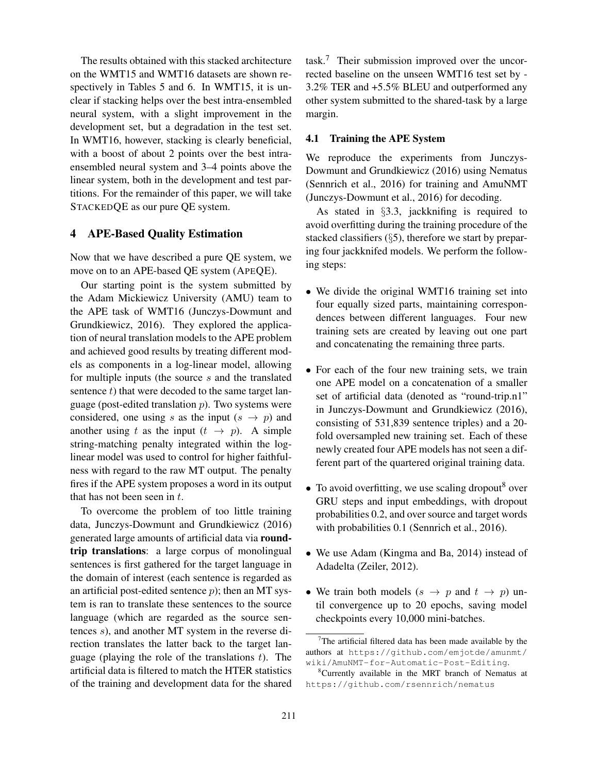The results obtained with this stacked architecture on the WMT15 and WMT16 datasets are shown respectively in Tables 5 and 6. In WMT15, it is unclear if stacking helps over the best intra-ensembled neural system, with a slight improvement in the development set, but a degradation in the test set. In WMT16, however, stacking is clearly beneficial, with a boost of about 2 points over the best intraensembled neural system and 3–4 points above the linear system, both in the development and test partitions. For the remainder of this paper, we will take STACKEDQE as our pure QE system.

### 4 APE-Based Quality Estimation

Now that we have described a pure QE system, we move on to an APE-based QE system (APEQE).

Our starting point is the system submitted by the Adam Mickiewicz University (AMU) team to the APE task of WMT16 (Junczys-Dowmunt and Grundkiewicz, 2016). They explored the application of neural translation models to the APE problem and achieved good results by treating different models as components in a log-linear model, allowing for multiple inputs (the source s and the translated sentence  $t$ ) that were decoded to the same target language (post-edited translation  $p$ ). Two systems were considered, one using s as the input  $(s \rightarrow p)$  and another using t as the input  $(t \rightarrow p)$ . A simple string-matching penalty integrated within the loglinear model was used to control for higher faithfulness with regard to the raw MT output. The penalty fires if the APE system proposes a word in its output that has not been seen in  $t$ .

To overcome the problem of too little training data, Junczys-Dowmunt and Grundkiewicz (2016) generated large amounts of artificial data via roundtrip translations: a large corpus of monolingual sentences is first gathered for the target language in the domain of interest (each sentence is regarded as an artificial post-edited sentence  $p$ ); then an MT system is ran to translate these sentences to the source language (which are regarded as the source sentences s), and another MT system in the reverse direction translates the latter back to the target language (playing the role of the translations  $t$ ). The artificial data is filtered to match the HTER statistics of the training and development data for the shared task.<sup>7</sup> Their submission improved over the uncorrected baseline on the unseen WMT16 test set by - 3.2% TER and +5.5% BLEU and outperformed any other system submitted to the shared-task by a large margin.

#### 4.1 Training the APE System

We reproduce the experiments from Junczys-Dowmunt and Grundkiewicz (2016) using Nematus (Sennrich et al., 2016) for training and AmuNMT (Junczys-Dowmunt et al., 2016) for decoding.

As stated in §3.3, jackknifing is required to avoid overfitting during the training procedure of the stacked classifiers (§5), therefore we start by preparing four jackknifed models. We perform the following steps:

- We divide the original WMT16 training set into four equally sized parts, maintaining correspondences between different languages. Four new training sets are created by leaving out one part and concatenating the remaining three parts.
- For each of the four new training sets, we train one APE model on a concatenation of a smaller set of artificial data (denoted as "round-trip.n1" in Junczys-Dowmunt and Grundkiewicz (2016), consisting of 531,839 sentence triples) and a 20 fold oversampled new training set. Each of these newly created four APE models has not seen a different part of the quartered original training data.
- To avoid overfitting, we use scaling dropout  $\delta$  over GRU steps and input embeddings, with dropout probabilities 0.2, and over source and target words with probabilities 0.1 (Sennrich et al., 2016).
- We use Adam (Kingma and Ba, 2014) instead of Adadelta (Zeiler, 2012).
- We train both models  $(s \rightarrow p \text{ and } t \rightarrow p)$  until convergence up to 20 epochs, saving model checkpoints every 10,000 mini-batches.

 $7$ The artificial filtered data has been made available by the authors at https://github.com/emjotde/amunmt/ wiki/AmuNMT-for-Automatic-Post-Editing.

<sup>&</sup>lt;sup>8</sup>Currently available in the MRT branch of Nematus at https://github.com/rsennrich/nematus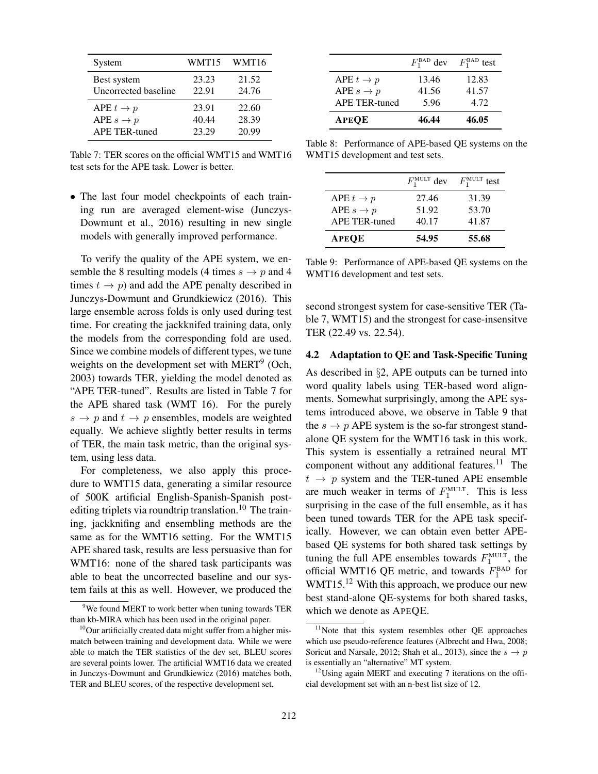| System                | WMT15 | WMT16 |
|-----------------------|-------|-------|
| Best system           | 23.23 | 21.52 |
| Uncorrected baseline  | 22.91 | 24.76 |
| APE $t \to p$         | 23.91 | 22.60 |
| APE $s \rightarrow p$ | 40.44 | 28.39 |
| <b>APE TER-tuned</b>  | 23.29 | 20.99 |

Table 7: TER scores on the official WMT15 and WMT16 test sets for the APE task. Lower is better.

• The last four model checkpoints of each training run are averaged element-wise (Junczys-Dowmunt et al., 2016) resulting in new single models with generally improved performance.

To verify the quality of the APE system, we ensemble the 8 resulting models (4 times  $s \to p$  and 4 times  $t \to p$ ) and add the APE penalty described in Junczys-Dowmunt and Grundkiewicz (2016). This large ensemble across folds is only used during test time. For creating the jackknifed training data, only the models from the corresponding fold are used. Since we combine models of different types, we tune weights on the development set with MERT<sup>9</sup> (Och, 2003) towards TER, yielding the model denoted as "APE TER-tuned". Results are listed in Table 7 for the APE shared task (WMT 16). For the purely  $s \rightarrow p$  and  $t \rightarrow p$  ensembles, models are weighted equally. We achieve slightly better results in terms of TER, the main task metric, than the original system, using less data.

For completeness, we also apply this procedure to WMT15 data, generating a similar resource of 500K artificial English-Spanish-Spanish postediting triplets via roundtrip translation.<sup>10</sup> The training, jackknifing and ensembling methods are the same as for the WMT16 setting. For the WMT15 APE shared task, results are less persuasive than for WMT16: none of the shared task participants was able to beat the uncorrected baseline and our system fails at this as well. However, we produced the

|               | $F_1^{\text{BAD}}$ dev | $F_1^{\text{BAD}}$ test |
|---------------|------------------------|-------------------------|
| APE $t \to p$ | 13.46                  | 12.83                   |
| APE $s \to p$ | 41.56                  | 41.57                   |
| APE TER-tuned | 5.96                   | 4.72                    |
| <b>APEQE</b>  | 46.44                  | 46.05                   |

Table 8: Performance of APE-based QE systems on the WMT15 development and test sets.

|               | $F_1^{\text{MULT}}$ dev | $F_1^{\text{MULT}}$ test |
|---------------|-------------------------|--------------------------|
| APE $t \to p$ | 27.46                   | 31.39                    |
| APE $s \to p$ | 51.92                   | 53.70                    |
| APE TER-tuned | 40.17                   | 41.87                    |
| <b>APEOE</b>  | 54.95                   | 55.68                    |

Table 9: Performance of APE-based QE systems on the WMT16 development and test sets.

second strongest system for case-sensitive TER (Table 7, WMT15) and the strongest for case-insensitve TER (22.49 vs. 22.54).

#### 4.2 Adaptation to QE and Task-Specific Tuning

As described in §2, APE outputs can be turned into word quality labels using TER-based word alignments. Somewhat surprisingly, among the APE systems introduced above, we observe in Table 9 that the  $s \to p$  APE system is the so-far strongest standalone QE system for the WMT16 task in this work. This system is essentially a retrained neural MT component without any additional features.<sup>11</sup> The  $t \rightarrow p$  system and the TER-tuned APE ensemble are much weaker in terms of  $F_1^{\text{MULT}}$ . This is less surprising in the case of the full ensemble, as it has been tuned towards TER for the APE task specifically. However, we can obtain even better APEbased QE systems for both shared task settings by tuning the full APE ensembles towards  $F_1^{\text{MULT}}$ , the official WMT16 QE metric, and towards  $F_1^{\text{BAD}}$  for WMT15.<sup>12</sup> With this approach, we produce our new best stand-alone QE-systems for both shared tasks, which we denote as APEQE.

<sup>&</sup>lt;sup>9</sup>We found MERT to work better when tuning towards TER than kb-MIRA which has been used in the original paper.

 $10$ Our artificially created data might suffer from a higher mismatch between training and development data. While we were able to match the TER statistics of the dev set, BLEU scores are several points lower. The artificial WMT16 data we created in Junczys-Dowmunt and Grundkiewicz (2016) matches both, TER and BLEU scores, of the respective development set.

<sup>&</sup>lt;sup>11</sup>Note that this system resembles other QE approaches which use pseudo-reference features (Albrecht and Hwa, 2008; Soricut and Narsale, 2012; Shah et al., 2013), since the  $s \to p$ is essentially an "alternative" MT system.

 $12$ Using again MERT and executing 7 iterations on the official development set with an n-best list size of 12.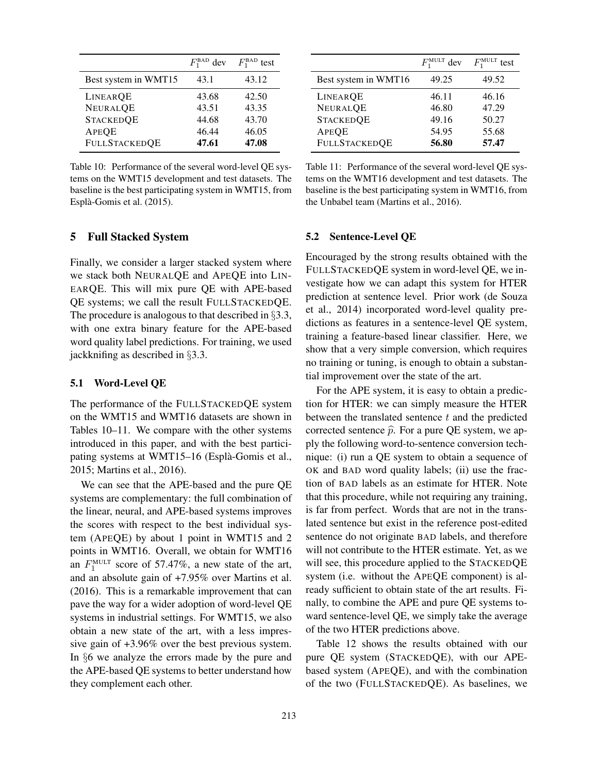|                      | $F_1^{\text{BAD}}$ dev | $F_1^{\rm BAD}$<br>test |
|----------------------|------------------------|-------------------------|
| Best system in WMT15 | 43.1                   | 43.12                   |
| LINEAROE             | 43.68                  | 42.50                   |
| <b>NEURALQE</b>      | 43.51                  | 43.35                   |
| <b>STACKEDQE</b>     | 44.68                  | 43.70                   |
| APEQE                | 46.44                  | 46.05                   |
| <b>FULLSTACKEDQE</b> | 47.61                  | 47.08                   |

Table 10: Performance of the several word-level QE systems on the WMT15 development and test datasets. The baseline is the best participating system in WMT15, from Espla-Gomis et al. (2015). `

#### 5 Full Stacked System

Finally, we consider a larger stacked system where we stack both NEURALQE and APEQE into LIN-EARQE. This will mix pure QE with APE-based QE systems; we call the result FULLSTACKEDQE. The procedure is analogous to that described in §3.3, with one extra binary feature for the APE-based word quality label predictions. For training, we used jackknifing as described in §3.3.

### 5.1 Word-Level QE

The performance of the FULLSTACKEDQE system on the WMT15 and WMT16 datasets are shown in Tables 10–11. We compare with the other systems introduced in this paper, and with the best participating systems at WMT15–16 (Espla-Gomis et al., ` 2015; Martins et al., 2016).

We can see that the APE-based and the pure QE systems are complementary: the full combination of the linear, neural, and APE-based systems improves the scores with respect to the best individual system (APEQE) by about 1 point in WMT15 and 2 points in WMT16. Overall, we obtain for WMT16 an  $F_1^{\text{MULT}}$  score of 57.47%, a new state of the art, and an absolute gain of +7.95% over Martins et al. (2016). This is a remarkable improvement that can pave the way for a wider adoption of word-level QE systems in industrial settings. For WMT15, we also obtain a new state of the art, with a less impressive gain of +3.96% over the best previous system. In §6 we analyze the errors made by the pure and the APE-based QE systems to better understand how they complement each other.

|                      | $F_1^{\text{MULT}}$ dev | $F_1^{\text{MULT}}$ test |
|----------------------|-------------------------|--------------------------|
| Best system in WMT16 | 49.25                   | 49.52                    |
| LINEAROE             | 46.11                   | 46.16                    |
| <b>NEURALQE</b>      | 46.80                   | 47.29                    |
| <b>STACKEDQE</b>     | 49.16                   | 50.27                    |
| <b>APEQE</b>         | 54.95                   | 55.68                    |
| <b>FULLSTACKEDQE</b> | 56.80                   | 57.47                    |

Table 11: Performance of the several word-level QE systems on the WMT16 development and test datasets. The baseline is the best participating system in WMT16, from the Unbabel team (Martins et al., 2016).

#### 5.2 Sentence-Level QE

Encouraged by the strong results obtained with the FULLSTACKEDQE system in word-level QE, we investigate how we can adapt this system for HTER prediction at sentence level. Prior work (de Souza et al., 2014) incorporated word-level quality predictions as features in a sentence-level QE system, training a feature-based linear classifier. Here, we show that a very simple conversion, which requires no training or tuning, is enough to obtain a substantial improvement over the state of the art.

For the APE system, it is easy to obtain a prediction for HTER: we can simply measure the HTER between the translated sentence  $t$  and the predicted corrected sentence  $\hat{p}$ . For a pure QE system, we apply the following word-to-sentence conversion technique: (i) run a QE system to obtain a sequence of OK and BAD word quality labels; (ii) use the fraction of BAD labels as an estimate for HTER. Note that this procedure, while not requiring any training, is far from perfect. Words that are not in the translated sentence but exist in the reference post-edited sentence do not originate BAD labels, and therefore will not contribute to the HTER estimate. Yet, as we will see, this procedure applied to the STACKEDQE system (i.e. without the APEQE component) is already sufficient to obtain state of the art results. Finally, to combine the APE and pure QE systems toward sentence-level QE, we simply take the average of the two HTER predictions above.

Table 12 shows the results obtained with our pure QE system (STACKEDQE), with our APEbased system (APEQE), and with the combination of the two (FULLSTACKEDQE). As baselines, we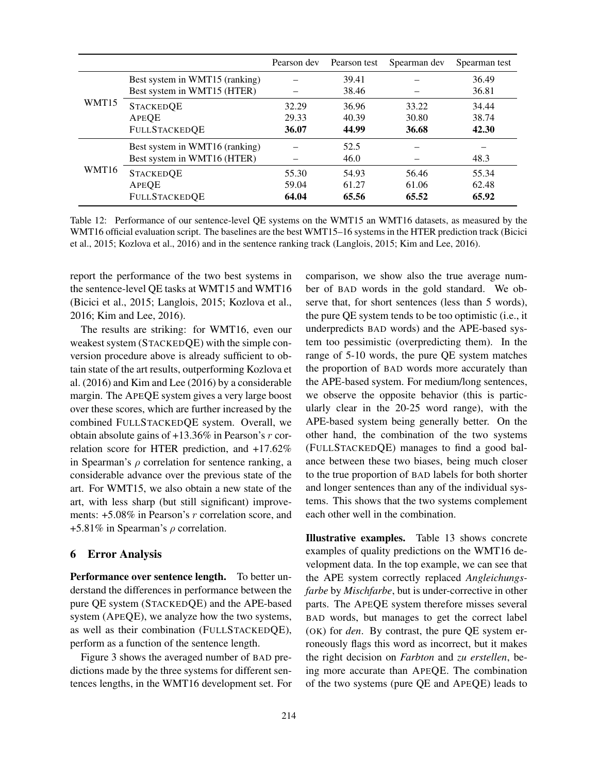|       |                                | Pearson dev | Pearson test | Spearman dev | Spearman test |
|-------|--------------------------------|-------------|--------------|--------------|---------------|
| WMT15 | Best system in WMT15 (ranking) |             | 39.41        |              | 36.49         |
|       | Best system in WMT15 (HTER)    |             | 38.46        |              | 36.81         |
|       | <b>STACKEDQE</b>               | 32.29       | 36.96        | 33.22        | 34.44         |
|       | APEOE                          | 29.33       | 40.39        | 30.80        | 38.74         |
|       | <b>FULLSTACKEDQE</b>           | 36.07       | 44.99        | 36.68        | 42.30         |
| WMT16 | Best system in WMT16 (ranking) |             | 52.5         |              |               |
|       | Best system in WMT16 (HTER)    |             | 46.0         |              | 48.3          |
|       | <b>STACKEDQE</b>               | 55.30       | 54.93        | 56.46        | 55.34         |
|       | APEOE                          | 59.04       | 61.27        | 61.06        | 62.48         |
|       | <b>FULLSTACKEDOE</b>           | 64.04       | 65.56        | 65.52        | 65.92         |

Table 12: Performance of our sentence-level QE systems on the WMT15 an WMT16 datasets, as measured by the WMT16 official evaluation script. The baselines are the best WMT15–16 systems in the HTER prediction track (Bicici et al., 2015; Kozlova et al., 2016) and in the sentence ranking track (Langlois, 2015; Kim and Lee, 2016).

report the performance of the two best systems in the sentence-level QE tasks at WMT15 and WMT16 (Bicici et al., 2015; Langlois, 2015; Kozlova et al., 2016; Kim and Lee, 2016).

The results are striking: for WMT16, even our weakest system (STACKEDQE) with the simple conversion procedure above is already sufficient to obtain state of the art results, outperforming Kozlova et al. (2016) and Kim and Lee (2016) by a considerable margin. The APEQE system gives a very large boost over these scores, which are further increased by the combined FULLSTACKEDQE system. Overall, we obtain absolute gains of  $+13.36\%$  in Pearson's r correlation score for HTER prediction, and +17.62% in Spearman's  $\rho$  correlation for sentence ranking, a considerable advance over the previous state of the art. For WMT15, we also obtain a new state of the art, with less sharp (but still significant) improvements: +5.08% in Pearson's r correlation score, and +5.81% in Spearman's  $\rho$  correlation.

#### 6 Error Analysis

Performance over sentence length. To better understand the differences in performance between the pure QE system (STACKEDQE) and the APE-based system (APEQE), we analyze how the two systems, as well as their combination (FULLSTACKEDQE), perform as a function of the sentence length.

Figure 3 shows the averaged number of BAD predictions made by the three systems for different sentences lengths, in the WMT16 development set. For comparison, we show also the true average number of BAD words in the gold standard. We observe that, for short sentences (less than 5 words), the pure QE system tends to be too optimistic (i.e., it underpredicts BAD words) and the APE-based system too pessimistic (overpredicting them). In the range of 5-10 words, the pure QE system matches the proportion of BAD words more accurately than the APE-based system. For medium/long sentences, we observe the opposite behavior (this is particularly clear in the 20-25 word range), with the APE-based system being generally better. On the other hand, the combination of the two systems (FULLSTACKEDQE) manages to find a good balance between these two biases, being much closer to the true proportion of BAD labels for both shorter and longer sentences than any of the individual systems. This shows that the two systems complement each other well in the combination.

Illustrative examples. Table 13 shows concrete examples of quality predictions on the WMT16 development data. In the top example, we can see that the APE system correctly replaced *Angleichungsfarbe* by *Mischfarbe*, but is under-corrective in other parts. The APEQE system therefore misses several BAD words, but manages to get the correct label (OK) for *den*. By contrast, the pure QE system erroneously flags this word as incorrect, but it makes the right decision on *Farbton* and *zu erstellen*, being more accurate than APEQE. The combination of the two systems (pure QE and APEQE) leads to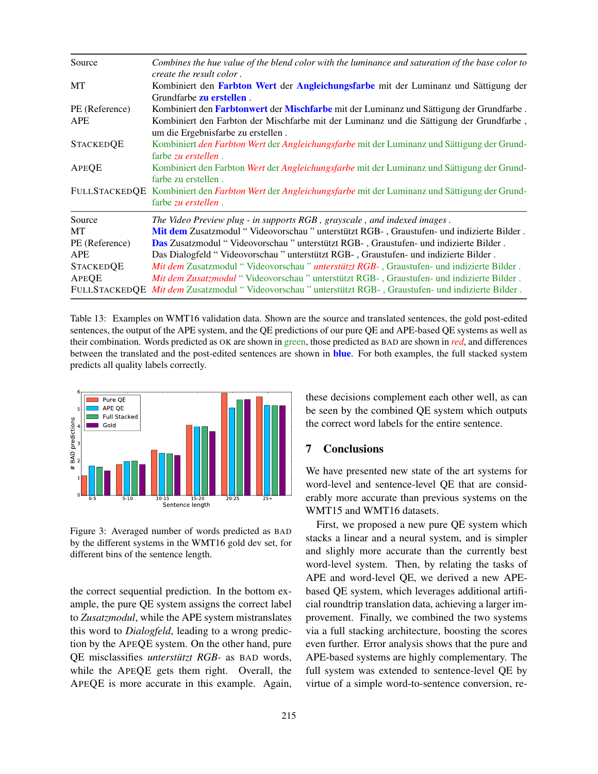| Source               | Combines the hue value of the blend color with the luminance and saturation of the base color to<br>create the result color.   |
|----------------------|--------------------------------------------------------------------------------------------------------------------------------|
| МT                   | Kombiniert den Farbton Wert der Angleichungsfarbe mit der Luminanz und Sättigung der<br>Grundfarbe <b>zu erstellen</b> .       |
| PE (Reference)       | Kombiniert den Farbtonwert der Mischfarbe mit der Luminanz und Sättigung der Grundfarbe.                                       |
| <b>APE</b>           | Kombiniert den Farbton der Mischfarbe mit der Luminanz und die Sättigung der Grundfarbe,<br>um die Ergebnisfarbe zu erstellen. |
| <b>STACKEDQE</b>     | Kombiniert den Farbton Wert der Angleichungsfarbe mit der Luminanz und Sättigung der Grund-<br>farbe zu erstellen.             |
| APEQE                | Kombiniert den Farbton Wert der Angleichungsfarbe mit der Luminanz und Sättigung der Grund-<br>farbe zu erstellen.             |
| <b>FULLSTACKEDOE</b> | Kombiniert den Farbton Wert der Angleichungsfarbe mit der Luminanz und Sättigung der Grund-<br>farbe zu erstellen.             |
| Source               | The Video Preview plug - in supports RGB, grayscale, and indexed images.                                                       |
| <b>MT</b>            | Mit dem Zusatzmodul "Videovorschau" unterstützt RGB-, Graustufen- und indizierte Bilder.                                       |
| PE (Reference)       | Das Zusatzmodul "Videovorschau" unterstützt RGB-, Graustufen- und indizierte Bilder.                                           |
| <b>APE</b>           | Das Dialogfeld "Videovorschau" unterstützt RGB-, Graustufen- und indizierte Bilder.                                            |
| <b>STACKEDOE</b>     | Mit dem Zusatzmodul "Videovorschau" <i>unterstützt RGB</i> -, Graustufen- und indizierte Bilder.                               |
| APEQE                | <i>Mit dem Zusatzmodul</i> "Videovorschau " unterstützt RGB-, Graustufen- und indizierte Bilder.                               |
|                      | FULLSTACKEDQE Mit dem Zusatzmodul "Videovorschau" unterstützt RGB-, Graustufen- und indizierte Bilder.                         |

Table 13: Examples on WMT16 validation data. Shown are the source and translated sentences, the gold post-edited sentences, the output of the APE system, and the QE predictions of our pure QE and APE-based QE systems as well as their combination. Words predicted as OK are shown in green, those predicted as BAD are shown in *red*, and differences between the translated and the post-edited sentences are shown in **blue**. For both examples, the full stacked system predicts all quality labels correctly.



Figure 3: Averaged number of words predicted as BAD by the different systems in the WMT16 gold dev set, for different bins of the sentence length.

the correct sequential prediction. In the bottom example, the pure QE system assigns the correct label to *Zusatzmodul*, while the APE system mistranslates this word to *Dialogfeld*, leading to a wrong prediction by the APEQE system. On the other hand, pure QE misclassifies *unterstützt RGB*- as BAD words, while the APEQE gets them right. Overall, the APEQE is more accurate in this example. Again,

these decisions complement each other well, as can be seen by the combined QE system which outputs the correct word labels for the entire sentence.

#### 7 Conclusions

We have presented new state of the art systems for word-level and sentence-level QE that are considerably more accurate than previous systems on the WMT15 and WMT16 datasets.

First, we proposed a new pure QE system which stacks a linear and a neural system, and is simpler and slighly more accurate than the currently best word-level system. Then, by relating the tasks of APE and word-level QE, we derived a new APEbased QE system, which leverages additional artificial roundtrip translation data, achieving a larger improvement. Finally, we combined the two systems via a full stacking architecture, boosting the scores even further. Error analysis shows that the pure and APE-based systems are highly complementary. The full system was extended to sentence-level QE by virtue of a simple word-to-sentence conversion, re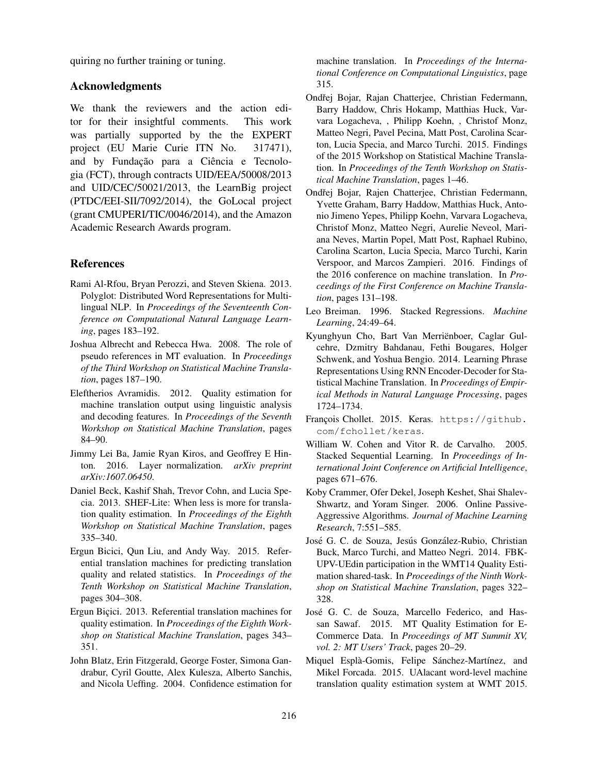quiring no further training or tuning.

## Acknowledgments

We thank the reviewers and the action editor for their insightful comments. This work was partially supported by the the EXPERT project (EU Marie Curie ITN No. 317471), and by Fundação para a Ciência e Tecnologia (FCT), through contracts UID/EEA/50008/2013 and UID/CEC/50021/2013, the LearnBig project (PTDC/EEI-SII/7092/2014), the GoLocal project (grant CMUPERI/TIC/0046/2014), and the Amazon Academic Research Awards program.

### References

- Rami Al-Rfou, Bryan Perozzi, and Steven Skiena. 2013. Polyglot: Distributed Word Representations for Multilingual NLP. In *Proceedings of the Seventeenth Conference on Computational Natural Language Learning*, pages 183–192.
- Joshua Albrecht and Rebecca Hwa. 2008. The role of pseudo references in MT evaluation. In *Proceedings of the Third Workshop on Statistical Machine Translation*, pages 187–190.
- Eleftherios Avramidis. 2012. Quality estimation for machine translation output using linguistic analysis and decoding features. In *Proceedings of the Seventh Workshop on Statistical Machine Translation*, pages 84–90.
- Jimmy Lei Ba, Jamie Ryan Kiros, and Geoffrey E Hinton. 2016. Layer normalization. *arXiv preprint arXiv:1607.06450*.
- Daniel Beck, Kashif Shah, Trevor Cohn, and Lucia Specia. 2013. SHEF-Lite: When less is more for translation quality estimation. In *Proceedings of the Eighth Workshop on Statistical Machine Translation*, pages 335–340.
- Ergun Bicici, Qun Liu, and Andy Way. 2015. Referential translation machines for predicting translation quality and related statistics. In *Proceedings of the Tenth Workshop on Statistical Machine Translation*, pages 304–308.
- Ergun Biçici. 2013. Referential translation machines for quality estimation. In *Proceedings of the Eighth Workshop on Statistical Machine Translation*, pages 343– 351.
- John Blatz, Erin Fitzgerald, George Foster, Simona Gandrabur, Cyril Goutte, Alex Kulesza, Alberto Sanchis, and Nicola Ueffing. 2004. Confidence estimation for

machine translation. In *Proceedings of the International Conference on Computational Linguistics*, page 315.

- Ondřej Bojar, Rajan Chatterjee, Christian Federmann, Barry Haddow, Chris Hokamp, Matthias Huck, Varvara Logacheva, , Philipp Koehn, , Christof Monz, Matteo Negri, Pavel Pecina, Matt Post, Carolina Scarton, Lucia Specia, and Marco Turchi. 2015. Findings of the 2015 Workshop on Statistical Machine Translation. In *Proceedings of the Tenth Workshop on Statistical Machine Translation*, pages 1–46.
- Ondřej Bojar, Rajen Chatterjee, Christian Federmann, Yvette Graham, Barry Haddow, Matthias Huck, Antonio Jimeno Yepes, Philipp Koehn, Varvara Logacheva, Christof Monz, Matteo Negri, Aurelie Neveol, Mariana Neves, Martin Popel, Matt Post, Raphael Rubino, Carolina Scarton, Lucia Specia, Marco Turchi, Karin Verspoor, and Marcos Zampieri. 2016. Findings of the 2016 conference on machine translation. In *Proceedings of the First Conference on Machine Translation*, pages 131–198.
- Leo Breiman. 1996. Stacked Regressions. *Machine Learning*, 24:49–64.
- Kyunghyun Cho, Bart Van Merriënboer, Caglar Gulcehre, Dzmitry Bahdanau, Fethi Bougares, Holger Schwenk, and Yoshua Bengio. 2014. Learning Phrase Representations Using RNN Encoder-Decoder for Statistical Machine Translation. In *Proceedings of Empirical Methods in Natural Language Processing*, pages 1724–1734.
- François Chollet. 2015. Keras. https://github. com/fchollet/keras.
- William W. Cohen and Vitor R. de Carvalho. 2005. Stacked Sequential Learning. In *Proceedings of International Joint Conference on Artificial Intelligence*, pages 671–676.
- Koby Crammer, Ofer Dekel, Joseph Keshet, Shai Shalev-Shwartz, and Yoram Singer. 2006. Online Passive-Aggressive Algorithms. *Journal of Machine Learning Research*, 7:551–585.
- José G. C. de Souza, Jesús González-Rubio, Christian Buck, Marco Turchi, and Matteo Negri. 2014. FBK-UPV-UEdin participation in the WMT14 Quality Estimation shared-task. In *Proceedings of the Ninth Workshop on Statistical Machine Translation*, pages 322– 328.
- José G. C. de Souza, Marcello Federico, and Hassan Sawaf. 2015. MT Quality Estimation for E-Commerce Data. In *Proceedings of MT Summit XV, vol. 2: MT Users' Track*, pages 20–29.
- Miquel Esplà-Gomis, Felipe Sánchez-Martínez, and Mikel Forcada. 2015. UAlacant word-level machine translation quality estimation system at WMT 2015.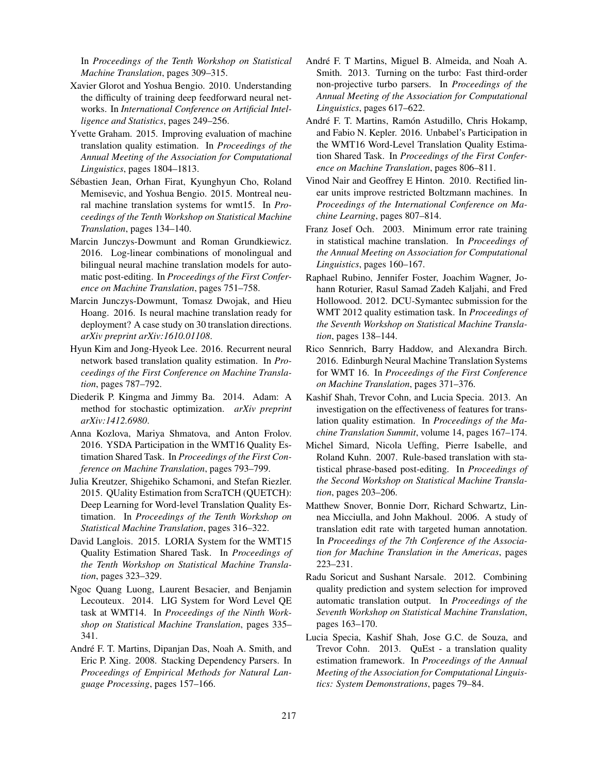In *Proceedings of the Tenth Workshop on Statistical Machine Translation*, pages 309–315.

- Xavier Glorot and Yoshua Bengio. 2010. Understanding the difficulty of training deep feedforward neural networks. In *International Conference on Artificial Intelligence and Statistics*, pages 249–256.
- Yvette Graham. 2015. Improving evaluation of machine translation quality estimation. In *Proceedings of the Annual Meeting of the Association for Computational Linguistics*, pages 1804–1813.
- Sebastien Jean, Orhan Firat, Kyunghyun Cho, Roland ´ Memisevic, and Yoshua Bengio. 2015. Montreal neural machine translation systems for wmt15. In *Proceedings of the Tenth Workshop on Statistical Machine Translation*, pages 134–140.
- Marcin Junczys-Dowmunt and Roman Grundkiewicz. 2016. Log-linear combinations of monolingual and bilingual neural machine translation models for automatic post-editing. In *Proceedings of the First Conference on Machine Translation*, pages 751–758.
- Marcin Junczys-Dowmunt, Tomasz Dwojak, and Hieu Hoang. 2016. Is neural machine translation ready for deployment? A case study on 30 translation directions. *arXiv preprint arXiv:1610.01108*.
- Hyun Kim and Jong-Hyeok Lee. 2016. Recurrent neural network based translation quality estimation. In *Proceedings of the First Conference on Machine Translation*, pages 787–792.
- Diederik P. Kingma and Jimmy Ba. 2014. Adam: A method for stochastic optimization. *arXiv preprint arXiv:1412.6980*.
- Anna Kozlova, Mariya Shmatova, and Anton Frolov. 2016. YSDA Participation in the WMT16 Quality Estimation Shared Task. In *Proceedings of the First Conference on Machine Translation*, pages 793–799.
- Julia Kreutzer, Shigehiko Schamoni, and Stefan Riezler. 2015. QUality Estimation from ScraTCH (QUETCH): Deep Learning for Word-level Translation Quality Estimation. In *Proceedings of the Tenth Workshop on Statistical Machine Translation*, pages 316–322.
- David Langlois. 2015. LORIA System for the WMT15 Quality Estimation Shared Task. In *Proceedings of the Tenth Workshop on Statistical Machine Translation*, pages 323–329.
- Ngoc Quang Luong, Laurent Besacier, and Benjamin Lecouteux. 2014. LIG System for Word Level QE task at WMT14. In *Proceedings of the Ninth Workshop on Statistical Machine Translation*, pages 335– 341.
- André F. T. Martins, Dipanjan Das, Noah A. Smith, and Eric P. Xing. 2008. Stacking Dependency Parsers. In *Proceedings of Empirical Methods for Natural Language Processing*, pages 157–166.
- André F. T Martins, Miguel B. Almeida, and Noah A. Smith. 2013. Turning on the turbo: Fast third-order non-projective turbo parsers. In *Proceedings of the Annual Meeting of the Association for Computational Linguistics*, pages 617–622.
- André F. T. Martins, Ramón Astudillo, Chris Hokamp, and Fabio N. Kepler. 2016. Unbabel's Participation in the WMT16 Word-Level Translation Quality Estimation Shared Task. In *Proceedings of the First Conference on Machine Translation*, pages 806–811.
- Vinod Nair and Geoffrey E Hinton. 2010. Rectified linear units improve restricted Boltzmann machines. In *Proceedings of the International Conference on Machine Learning*, pages 807–814.
- Franz Josef Och. 2003. Minimum error rate training in statistical machine translation. In *Proceedings of the Annual Meeting on Association for Computational Linguistics*, pages 160–167.
- Raphael Rubino, Jennifer Foster, Joachim Wagner, Johann Roturier, Rasul Samad Zadeh Kaljahi, and Fred Hollowood. 2012. DCU-Symantec submission for the WMT 2012 quality estimation task. In *Proceedings of the Seventh Workshop on Statistical Machine Translation*, pages 138–144.
- Rico Sennrich, Barry Haddow, and Alexandra Birch. 2016. Edinburgh Neural Machine Translation Systems for WMT 16. In *Proceedings of the First Conference on Machine Translation*, pages 371–376.
- Kashif Shah, Trevor Cohn, and Lucia Specia. 2013. An investigation on the effectiveness of features for translation quality estimation. In *Proceedings of the Machine Translation Summit*, volume 14, pages 167–174.
- Michel Simard, Nicola Ueffing, Pierre Isabelle, and Roland Kuhn. 2007. Rule-based translation with statistical phrase-based post-editing. In *Proceedings of the Second Workshop on Statistical Machine Translation*, pages 203–206.
- Matthew Snover, Bonnie Dorr, Richard Schwartz, Linnea Micciulla, and John Makhoul. 2006. A study of translation edit rate with targeted human annotation. In *Proceedings of the 7th Conference of the Association for Machine Translation in the Americas*, pages 223–231.
- Radu Soricut and Sushant Narsale. 2012. Combining quality prediction and system selection for improved automatic translation output. In *Proceedings of the Seventh Workshop on Statistical Machine Translation*, pages 163–170.
- Lucia Specia, Kashif Shah, Jose G.C. de Souza, and Trevor Cohn. 2013. QuEst - a translation quality estimation framework. In *Proceedings of the Annual Meeting of the Association for Computational Linguistics: System Demonstrations*, pages 79–84.